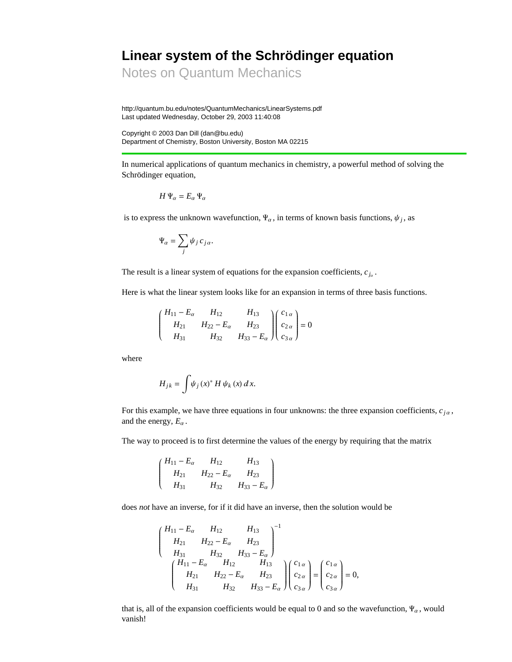## **Linear system of the Schrödinger equation**

Notes on Quantum Mechanics

http://quantum.bu.edu/notes/QuantumMechanics/LinearSystems.pdf Last updated Wednesday, October 29, 2003 11:40:08

Copyright © 2003 Dan Dill (dan@bu.edu) Department of Chemistry, Boston University, Boston MA 02215

In numerical applications of quantum mechanics in chemistry, a powerful method of solving the Schrödinger equation,

$$
H\Psi_{\alpha}=E_{\alpha}\Psi_{\alpha}
$$

is to express the unknown wavefunction,  $\Psi_{\alpha}$ , in terms of known basis functions,  $\psi_j$ , as

$$
\Psi_{\alpha} = \sum_{j} \psi_{j} c_{j\alpha}.
$$

The result is a linear system of equations for the expansion coefficients,  $c_{i_{\alpha}}$ .

Here is what the linear system looks like for an expansion in terms of three basis functions.

$$
\begin{pmatrix} H_{11} - E_{\alpha} & H_{12} & H_{13} \\ H_{21} & H_{22} - E_{\alpha} & H_{23} \\ H_{31} & H_{32} & H_{33} - E_{\alpha} \end{pmatrix} \begin{pmatrix} c_{1\alpha} \\ c_{2\alpha} \\ c_{3\alpha} \end{pmatrix} = 0
$$

where

$$
H_{jk} = \int \psi_j(x)^* H \psi_k(x) dx.
$$

For this example, we have three equations in four unknowns: the three expansion coefficients,  $c_{i\alpha}$ , and the energy,  $E_\alpha$ .

The way to proceed is to first determine the values of the energy by requiring that the matrix

$$
\begin{pmatrix} H_{11} - E_{\alpha} & H_{12} & H_{13} \\ H_{21} & H_{22} - E_{\alpha} & H_{23} \\ H_{31} & H_{32} & H_{33} - E_{\alpha} \end{pmatrix}
$$

does *not* have an inverse, for if it did have an inverse, then the solution would be

$$
\begin{pmatrix}\nH_{11} - E_{\alpha} & H_{12} & H_{13} \\
H_{21} & H_{22} - E_{\alpha} & H_{23} \\
H_{31} & H_{32} & H_{33} - E_{\alpha}\n\end{pmatrix}^{-1}
$$
\n
$$
\begin{pmatrix}\nH_{11} - E_{\alpha} & H_{12} & H_{13} \\
H_{21} & H_{22} - E_{\alpha} & H_{23} \\
H_{31} & H_{32} & H_{33} - E_{\alpha}\n\end{pmatrix}\n\begin{pmatrix}\nc_{1\alpha} \\
c_{2\alpha} \\
c_{3\alpha}\n\end{pmatrix} =\n\begin{pmatrix}\nc_{1\alpha} \\
c_{2\alpha} \\
c_{3\alpha}\n\end{pmatrix} = 0,
$$

that is, all of the expansion coefficients would be equal to 0 and so the wavefunction,  $\Psi_{\alpha}$ , would vanish!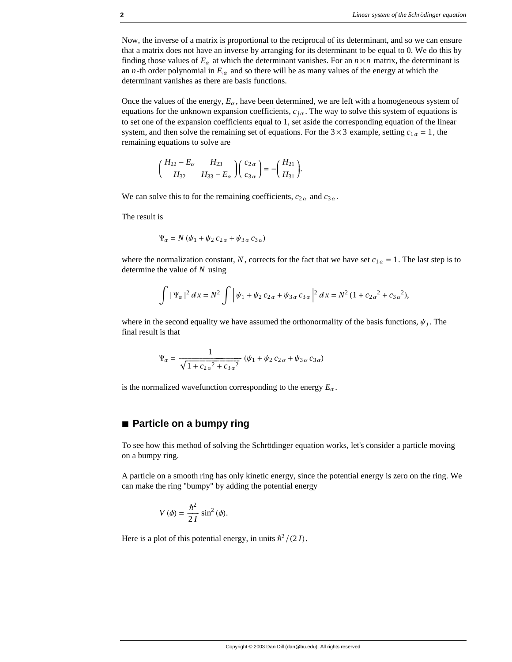Now, the inverse of a matrix is proportional to the reciprocal of its determinant, and so we can ensure that a matrix does not have an inverse by arranging for its determinant to be equal to 0. We do this by finding those values of  $E_\alpha$  at which the determinant vanishes. For an  $n \times n$  matrix, the determinant is an *n*-th order polynomial in  $E<sub>x</sub>$  and so there will be as many values of the energy at which the determinant vanishes as there are basis functions.

Once the values of the energy,  $E_\alpha$ , have been determined, we are left with a homogeneous system of equations for the unknown expansion coefficients,  $c_{i\alpha}$ . The way to solve this system of equations is to set one of the expansion coefficients equal to 1, set aside the corresponding equation of the linear system, and then solve the remaining set of equations. For the  $3\times3$  example, setting  $c_{1\alpha} = 1$ , the remaining equations to solve are

$$
\begin{pmatrix} H_{22} - E_{\alpha} & H_{23} \ H_{32} & H_{33} - E_{\alpha} \end{pmatrix} \begin{pmatrix} c_{2\alpha} \ c_{3\alpha} \end{pmatrix} = - \begin{pmatrix} H_{21} \ H_{31} \end{pmatrix}.
$$

We can solve this to for the remaining coefficients,  $c_{2\alpha}$  and  $c_{3\alpha}$ .

The result is

$$
\Psi_{\alpha} = N \left( \psi_1 + \psi_2 \, c_{2\,\alpha} + \psi_{3\,\alpha} \, c_{3\,\alpha} \right)
$$

where the normalization constant, N, corrects for the fact that we have set  $c_{1\alpha} = 1$ . The last step is to determine the value of *N* using

$$
\int |\Psi_{\alpha}|^2 dx = N^2 \int |\psi_1 + \psi_2 c_{2\alpha} + \psi_3 \alpha c_{3\alpha}|^2 dx = N^2 (1 + c_{2\alpha}^2 + c_{3\alpha}^2),
$$

where in the second equality we have assumed the orthonormality of the basis functions,  $\psi_i$ . The final result is that

$$
\Psi_{\alpha} = \frac{1}{\sqrt{1 + c_{2\alpha}^{2} + c_{3\alpha}^{2}}} \left( \psi_{1} + \psi_{2} c_{2\alpha} + \psi_{3\alpha} c_{3\alpha} \right)
$$

is the normalized wavefunction corresponding to the energy  $E_\alpha$ .

## **à Particle on a bumpy ring**

To see how this method of solving the Schrödinger equation works, let's consider a particle moving on a bumpy ring.

A particle on a smooth ring has only kinetic energy, since the potential energy is zero on the ring. We can make the ring "bumpy" by adding the potential energy

$$
V(\phi) = \frac{\hbar^2}{2 I} \sin^2(\phi).
$$

Here is a plot of this potential energy, in units  $\hbar^2/(2I)$ .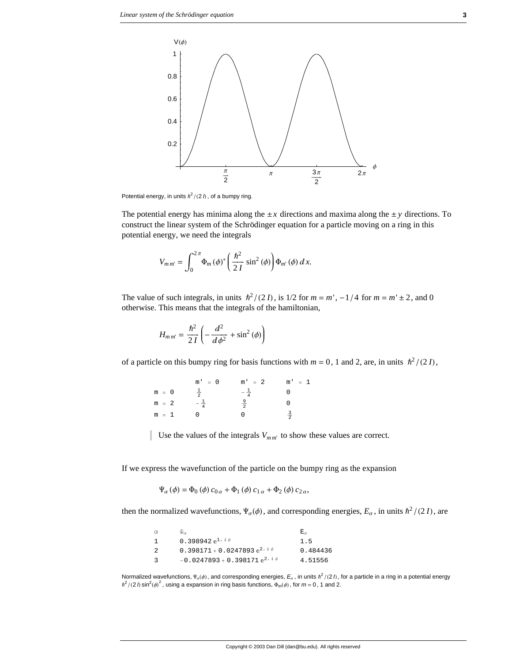

Potential energy, in units  $\hbar^2$  /(2 *I*), of a bumpy ring.

The potential energy has minima along the  $\pm x$  directions and maxima along the  $\pm y$  directions. To construct the linear system of the Schrödinger equation for a particle moving on a ring in this potential energy, we need the integrals

$$
V_{mm'} = \int_0^{2\pi} \Phi_m (\phi)^* \left( \frac{\hbar^2}{2I} \sin^2 (\phi) \right) \Phi_{m'} (\phi) \, dx.
$$

The value of such integrals, in units  $\hbar^2/(2I)$ , is 1/2 for  $m = m'$ ,  $-1/4$  for  $m = m' \pm 2$ , and 0 otherwise. This means that the integrals of the hamiltonian,

$$
H_{mm'} = \frac{\hbar^2}{2I} \left( -\frac{d^2}{d\phi^2} + \sin^2(\phi) \right)
$$

of a particle on this bumpy ring for basis functions with  $m = 0$ , 1 and 2, are, in units  $\hbar^2/(2I)$ ,

|         | $m' = 0$       | $m' = 2$       | $m' = 1$       |
|---------|----------------|----------------|----------------|
| $m = 0$ | $\overline{2}$ | $-\frac{1}{4}$ |                |
| $m = 2$ | $-\frac{1}{4}$ | $\overline{2}$ |                |
| m = 1   |                |                | $\overline{2}$ |

Use the values of the integrals  $V_{mm'}$  to show these values are correct.

If we express the wavefunction of the particle on the bumpy ring as the expansion

$$
\Psi_{\alpha}(\phi) = \Phi_0(\phi) c_{0\alpha} + \Phi_1(\phi) c_{1\alpha} + \Phi_2(\phi) c_{2\alpha},
$$

then the normalized wavefunctions,  $\Psi_\alpha(\phi)$ , and corresponding energies,  $E_\alpha$ , in units  $\hbar^2/(2I)$ , are

| α  | $\Psi_{\alpha}$                           | $E_{\alpha}$ |
|----|-------------------------------------------|--------------|
|    | 0.398942 $e^{1 \cdot i \phi}$             | 1.5          |
| 2  | $0.398171 + 0.0247893e^{2 \cdot i \phi}$  | 0.484436     |
| ્ર | $-0.0247893 + 0.398171e^{2 \cdot i \phi}$ | 4.51556      |

Normalized wavefunctions,  $\Psi_a(\phi)$ , and corresponding energies,  $E_a$ , in units  $\hbar^2/(2\hbar)$ , for a particle in a ring in a potential energy  $\hbar^2$  /(2 *I*) sin<sup>2</sup>( $\phi$ )<sup>2</sup>, using a expansion in ring basis functions,  $\Phi_m(\phi)$ , for  $m = 0$ , 1 and 2.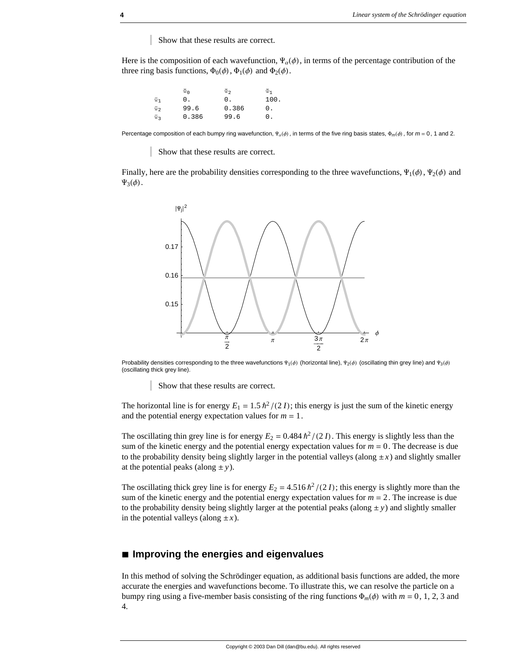Show that these results are correct.

Here is the composition of each wavefunction,  $\Psi_\alpha(\phi)$ , in terms of the percentage contribution of the three ring basis functions,  $\Phi_0(\phi)$ ,  $\Phi_1(\phi)$  and  $\Phi_2(\phi)$ .

|          | Φn    | $\Phi_2$ | Φ1   |
|----------|-------|----------|------|
| $\Psi_1$ | 0.    | 0.       | 100. |
| $\Psi_2$ | 99.6  | 0.386    | 0.   |
| Φı       | 0.386 | 99.6     | 0.   |

Percentage composition of each bumpy ring wavefunction,  $\Psi_a(\phi)$ , in terms of the five ring basis states,  $\Phi_m(\phi)$ , for  $m = 0, 1$  and 2.

Show that these results are correct.

Finally, here are the probability densities corresponding to the three wavefunctions,  $\Psi_1(\phi)$ ,  $\Psi_2(\phi)$  and  $\Psi_3(\phi)$ .



Probability densities corresponding to the three wavefunctions  $\Psi_1(\phi)$  (horizontal line),  $\Psi_2(\phi)$  (oscillating thin grey line) and  $\Psi_3(\phi)$ (oscillating thick grey line).

Show that these results are correct.

The horizontal line is for energy  $E_1 = 1.5 \frac{\hbar^2}{(2 I)}$ ; this energy is just the sum of the kinetic energy and the potential energy expectation values for  $m = 1$ .

The oscillating thin grey line is for energy  $E_2 = 0.484 \frac{\hbar^2}{2I}$ . This energy is slightly less than the sum of the kinetic energy and the potential energy expectation values for  $m = 0$ . The decrease is due to the probability density being slightly larger in the potential valleys (along  $\pm x$ ) and slightly smaller at the potential peaks (along  $\pm y$ ).

The oscillating thick grey line is for energy  $E_2 = 4.516 \frac{\hbar^2}{2I}$ ; this energy is slightly more than the sum of the kinetic energy and the potential energy expectation values for  $m = 2$ . The increase is due to the probability density being slightly larger at the potential peaks (along  $\pm y$ ) and slightly smaller in the potential valleys (along  $\pm x$ ).

## **à Improving the energies and eigenvalues**

In this method of solving the Schrödinger equation, as additional basis functions are added, the more accurate the energies and wavefunctions become. To illustrate this, we can resolve the particle on a bumpy ring using a five-member basis consisting of the ring functions  $\Phi_m(\phi)$  with  $m = 0, 1, 2, 3$  and 4.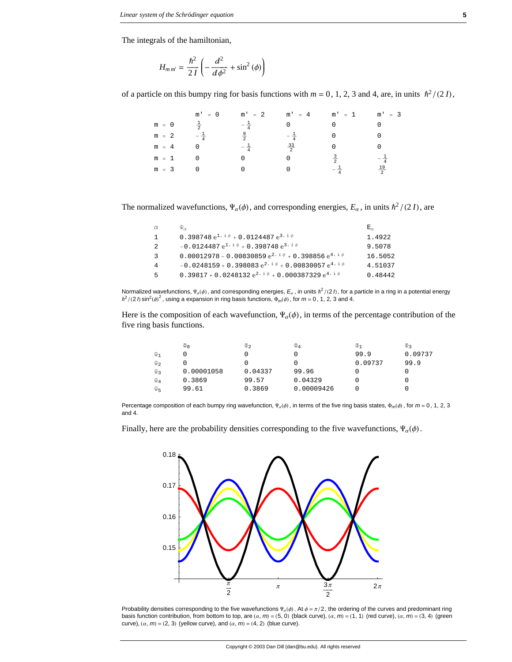The integrals of the hamiltonian,

$$
H_{mm'} = \frac{\hbar^2}{2I} \left( -\frac{d^2}{d\phi^2} + \sin^2(\phi) \right)
$$

of a particle on this bumpy ring for basis functions with  $m = 0, 1, 2, 3$  and 4, are, in units  $\hbar^2/(2I)$ ,

|         | $m' = 0$       | $m' = 2$       | $m' = 4$       | $m' = 1$       | $m' = 3$        |
|---------|----------------|----------------|----------------|----------------|-----------------|
| $m = 0$ | $\overline{2}$ | $-\frac{1}{4}$ |                |                |                 |
| $m = 2$ | $-\frac{1}{4}$ | $\frac{9}{2}$  | $-\frac{1}{4}$ |                |                 |
| $m = 4$ |                | $-\frac{1}{4}$ | $\frac{33}{2}$ |                |                 |
| $m = 1$ |                |                |                | $\overline{2}$ | $-\overline{4}$ |
| $m = 3$ |                |                |                | $-\frac{1}{4}$ | $\frac{19}{2}$  |

The normalized wavefunctions,  $\Psi_\alpha(\phi)$ , and corresponding energies,  $E_\alpha$ , in units  $\hbar^2/(2I)$ , are

| $\alpha$ | $\Psi_{\alpha}$                                                          | $E_{\alpha}$ |
|----------|--------------------------------------------------------------------------|--------------|
| 1        | 0.398748 $e^{1 \cdot i \phi}$ + 0.0124487 $e^{3 \cdot i \phi}$           | 1.4922       |
| 2        | $-0.0124487e^{1 \tcdot i \phi} + 0.398748e^{3 \tcdot i \phi}$            | 9.5078       |
| 3        | $0.00012978 - 0.00830859e^{2 \cdot i \phi} + 0.398856e^{4 \cdot i \phi}$ | 16.5052      |
| 4        | $-0.0248159 + 0.398083e^{2 \cdot i \phi} + 0.00830057e^{4 \cdot i \phi}$ | 4.51037      |
| 5        | $0.39817 + 0.0248132e^{2 \cdot i \phi} + 0.000387329e^{4 \cdot i \phi}$  | 0.48442      |

Normalized wavefunctions,  $\Psi_a(\phi)$ , and corresponding energies,  $E_a$ , in units  $\hbar^2/(2\hbar)$ , for a particle in a ring in a potential energy  $\hbar^2$  /(2 *I*) sin<sup>2</sup>( $\phi$ )<sup>2</sup>, using a expansion in ring basis functions,  $\Phi_m(\phi)$ , for  $m = 0, 1, 2, 3$  and 4.

Here is the composition of each wavefunction,  $\Psi_\alpha(\phi)$ , in terms of the percentage contribution of the five ring basis functions.

|          | Φο         | $\Phi_2$ | Φ4         | Φ1      | ج⊕      |
|----------|------------|----------|------------|---------|---------|
| $\Psi_1$ |            |          |            | 99.9    | 0.09737 |
| $\Phi_2$ |            |          |            | 0.09737 | 99.9    |
| Φ₹       | 0.00001058 | 0.04337  | 99.96      |         |         |
| $\Psi_4$ | 0.3869     | 99.57    | 0.04329    |         |         |
| $\Psi$ 5 | 99.61      | 0.3869   | 0.00009426 |         |         |

Percentage composition of each bumpy ring wavefunction,  $\Psi_\alpha(\phi)$ , in terms of the five ring basis states,  $\Phi_m(\phi)$ , for  $m = 0, 1, 2, 3$ and 4.

Finally, here are the probability densities corresponding to the five wavefunctions,  $\Psi_\alpha(\phi)$ .



Probability densities corresponding to the five wavefunctions  $\Psi_\alpha(\phi)$ . At  $\phi = \pi/2$ , the ordering of the curves and predominant ring basis function contribution, from bottom to top, are  $(\alpha, m) = (5, 0)$  (black curve),  $(\alpha, m) = (1, 1)$  (red curve),  $(\alpha, m) = (3, 4)$  (green curve),  $(\alpha, m) = (2, 3)$  (yellow curve), and  $(\alpha, m) = (4, 2)$  (blue curve).